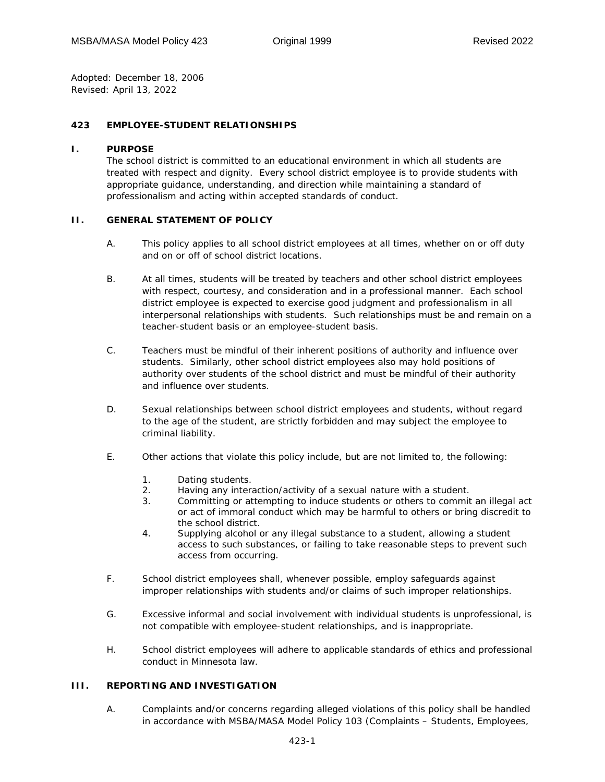*Adopted:* December 18, 2006 *Revised:* April 13, 2022

## **423 EMPLOYEE-STUDENT RELATIONSHIPS**

### **I. PURPOSE**

The school district is committed to an educational environment in which all students are treated with respect and dignity. Every school district employee is to provide students with appropriate guidance, understanding, and direction while maintaining a standard of professionalism and acting within accepted standards of conduct.

## **II. GENERAL STATEMENT OF POLICY**

- A. This policy applies to all school district employees at all times, whether on or off duty and on or off of school district locations.
- B. At all times, students will be treated by teachers and other school district employees with respect, courtesy, and consideration and in a professional manner. Each school district employee is expected to exercise good judgment and professionalism in all interpersonal relationships with students. Such relationships must be and remain on a teacher-student basis or an employee-student basis.
- C. Teachers must be mindful of their inherent positions of authority and influence over students. Similarly, other school district employees also may hold positions of authority over students of the school district and must be mindful of their authority and influence over students.
- D. Sexual relationships between school district employees and students, without regard to the age of the student, are strictly forbidden and may subject the employee to criminal liability.
- E. Other actions that violate this policy include, but are not limited to, the following:
	- 1. Dating students.
	- 2. Having any interaction/activity of a sexual nature with a student.
	- 3. Committing or attempting to induce students or others to commit an illegal act or act of immoral conduct which may be harmful to others or bring discredit to the school district.
	- 4. Supplying alcohol or any illegal substance to a student, allowing a student access to such substances, or failing to take reasonable steps to prevent such access from occurring.
- F. School district employees shall, whenever possible, employ safeguards against improper relationships with students and/or claims of such improper relationships.
- G. Excessive informal and social involvement with individual students is unprofessional, is not compatible with employee-student relationships, and is inappropriate.
- H. School district employees will adhere to applicable standards of ethics and professional conduct in Minnesota law.

### **III. REPORTING AND INVESTIGATION**

A. Complaints and/or concerns regarding alleged violations of this policy shall be handled in accordance with MSBA/MASA Model Policy 103 (Complaints – Students, Employees,